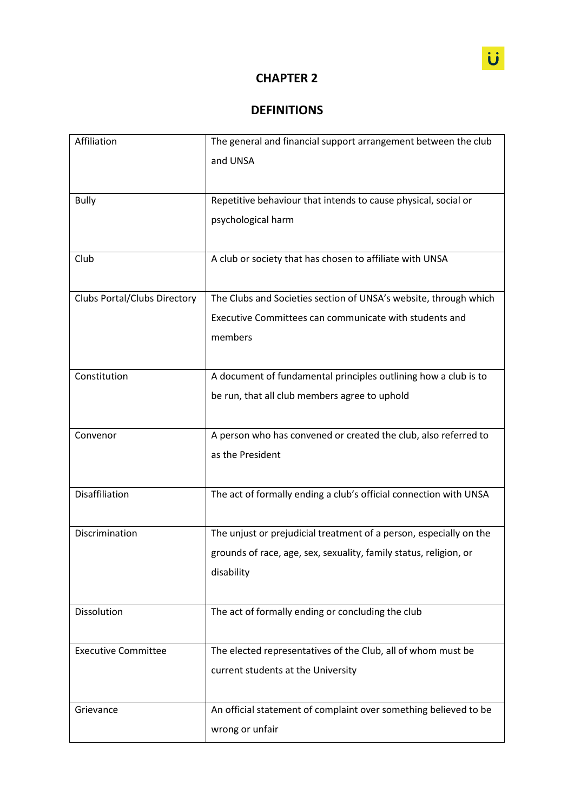## **CHAPTER 2**

## **DEFINITIONS**

| Affiliation                         | The general and financial support arrangement between the club<br>and UNSA                                                                            |
|-------------------------------------|-------------------------------------------------------------------------------------------------------------------------------------------------------|
| <b>Bully</b>                        | Repetitive behaviour that intends to cause physical, social or<br>psychological harm                                                                  |
| Club                                | A club or society that has chosen to affiliate with UNSA                                                                                              |
| <b>Clubs Portal/Clubs Directory</b> | The Clubs and Societies section of UNSA's website, through which<br>Executive Committees can communicate with students and<br>members                 |
| Constitution                        | A document of fundamental principles outlining how a club is to<br>be run, that all club members agree to uphold                                      |
| Convenor                            | A person who has convened or created the club, also referred to<br>as the President                                                                   |
| Disaffiliation                      | The act of formally ending a club's official connection with UNSA                                                                                     |
| Discrimination                      | The unjust or prejudicial treatment of a person, especially on the<br>grounds of race, age, sex, sexuality, family status, religion, or<br>disability |
| Dissolution                         | The act of formally ending or concluding the club                                                                                                     |
| <b>Executive Committee</b>          | The elected representatives of the Club, all of whom must be<br>current students at the University                                                    |
| Grievance                           | An official statement of complaint over something believed to be<br>wrong or unfair                                                                   |